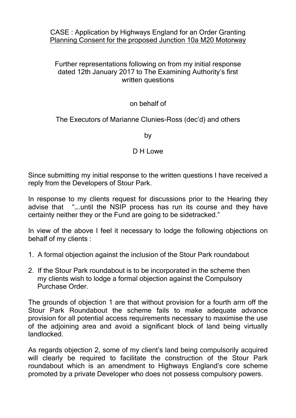CASE : Application by Highways England for an Order Granting Planning Consent for the proposed Junction 10a M20 Motorway

## Further representations following on from my initial response dated 12th January 2017 to The Examining Authority's first written questions

## on behalf of

## The Executors of Marianne Clunies-Ross (dec'd) and others

by

## D H Lowe

Since submitting my initial response to the written questions I have received a reply from the Developers of Stour Park.

In response to my clients request for discussions prior to the Hearing they advise that "….until the NSIP process has run its course and they have certainty neither they or the Fund are going to be sidetracked."

In view of the above I feel it necessary to lodge the following objections on behalf of my clients :

- 1. A formal objection against the inclusion of the Stour Park roundabout
- 2. If the Stour Park roundabout is to be incorporated in the scheme then my clients wish to lodge a formal objection against the Compulsory Purchase Order.

The grounds of objection 1 are that without provision for a fourth arm off the Stour Park Roundabout the scheme fails to make adequate advance provision for all potential access requirements necessary to maximise the use of the adjoining area and avoid a significant block of land being virtually landlocked.

As regards objection 2, some of my client's land being compulsorily acquired will clearly be required to facilitate the construction of the Stour Park roundabout which is an amendment to Highways England's core scheme promoted by a private Developer who does not possess compulsory powers.